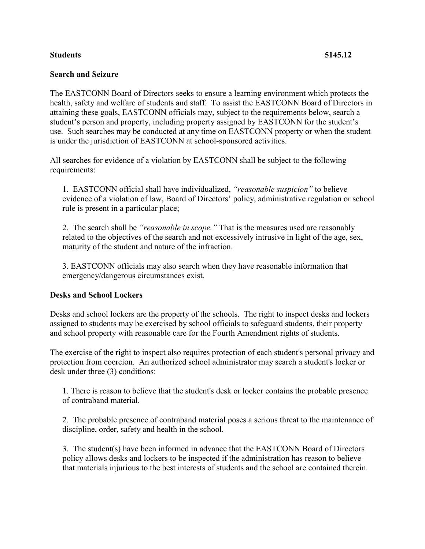## **Students 5145.12**

### **Search and Seizure**

The EASTCONN Board of Directors seeks to ensure a learning environment which protects the health, safety and welfare of students and staff. To assist the EASTCONN Board of Directors in attaining these goals, EASTCONN officials may, subject to the requirements below, search a student's person and property, including property assigned by EASTCONN for the student's use. Such searches may be conducted at any time on EASTCONN property or when the student is under the jurisdiction of EASTCONN at school-sponsored activities.

All searches for evidence of a violation by EASTCONN shall be subject to the following requirements:

1. EASTCONN official shall have individualized, *"reasonable suspicion"* to believe evidence of a violation of law, Board of Directors' policy, administrative regulation or school rule is present in a particular place;

2. The search shall be *"reasonable in scope."* That is the measures used are reasonably related to the objectives of the search and not excessively intrusive in light of the age, sex, maturity of the student and nature of the infraction.

3. EASTCONN officials may also search when they have reasonable information that emergency/dangerous circumstances exist.

# **Desks and School Lockers**

Desks and school lockers are the property of the schools. The right to inspect desks and lockers assigned to students may be exercised by school officials to safeguard students, their property and school property with reasonable care for the Fourth Amendment rights of students.

The exercise of the right to inspect also requires protection of each student's personal privacy and protection from coercion. An authorized school administrator may search a student's locker or desk under three (3) conditions:

1. There is reason to believe that the student's desk or locker contains the probable presence of contraband material.

2. The probable presence of contraband material poses a serious threat to the maintenance of discipline, order, safety and health in the school.

3. The student(s) have been informed in advance that the EASTCONN Board of Directors policy allows desks and lockers to be inspected if the administration has reason to believe that materials injurious to the best interests of students and the school are contained therein.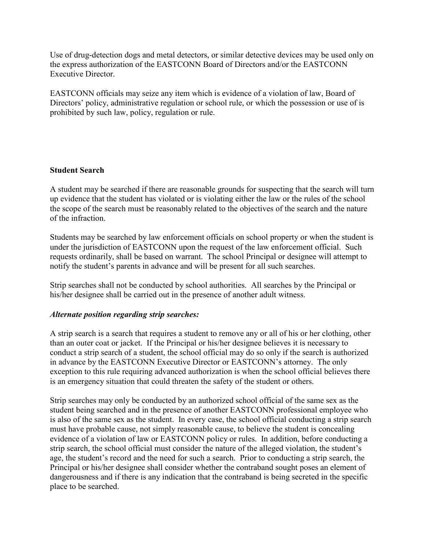Use of drug-detection dogs and metal detectors, or similar detective devices may be used only on the express authorization of the EASTCONN Board of Directors and/or the EASTCONN Executive Director.

EASTCONN officials may seize any item which is evidence of a violation of law, Board of Directors' policy, administrative regulation or school rule, or which the possession or use of is prohibited by such law, policy, regulation or rule.

## **Student Search**

A student may be searched if there are reasonable grounds for suspecting that the search will turn up evidence that the student has violated or is violating either the law or the rules of the school the scope of the search must be reasonably related to the objectives of the search and the nature of the infraction.

Students may be searched by law enforcement officials on school property or when the student is under the jurisdiction of EASTCONN upon the request of the law enforcement official. Such requests ordinarily, shall be based on warrant. The school Principal or designee will attempt to notify the student's parents in advance and will be present for all such searches.

Strip searches shall not be conducted by school authorities. All searches by the Principal or his/her designee shall be carried out in the presence of another adult witness.

#### *Alternate position regarding strip searches:*

A strip search is a search that requires a student to remove any or all of his or her clothing, other than an outer coat or jacket. If the Principal or his/her designee believes it is necessary to conduct a strip search of a student, the school official may do so only if the search is authorized in advance by the EASTCONN Executive Director or EASTCONN's attorney. The only exception to this rule requiring advanced authorization is when the school official believes there is an emergency situation that could threaten the safety of the student or others.

Strip searches may only be conducted by an authorized school official of the same sex as the student being searched and in the presence of another EASTCONN professional employee who is also of the same sex as the student. In every case, the school official conducting a strip search must have probable cause, not simply reasonable cause, to believe the student is concealing evidence of a violation of law or EASTCONN policy or rules. In addition, before conducting a strip search, the school official must consider the nature of the alleged violation, the student's age, the student's record and the need for such a search. Prior to conducting a strip search, the Principal or his/her designee shall consider whether the contraband sought poses an element of dangerousness and if there is any indication that the contraband is being secreted in the specific place to be searched.